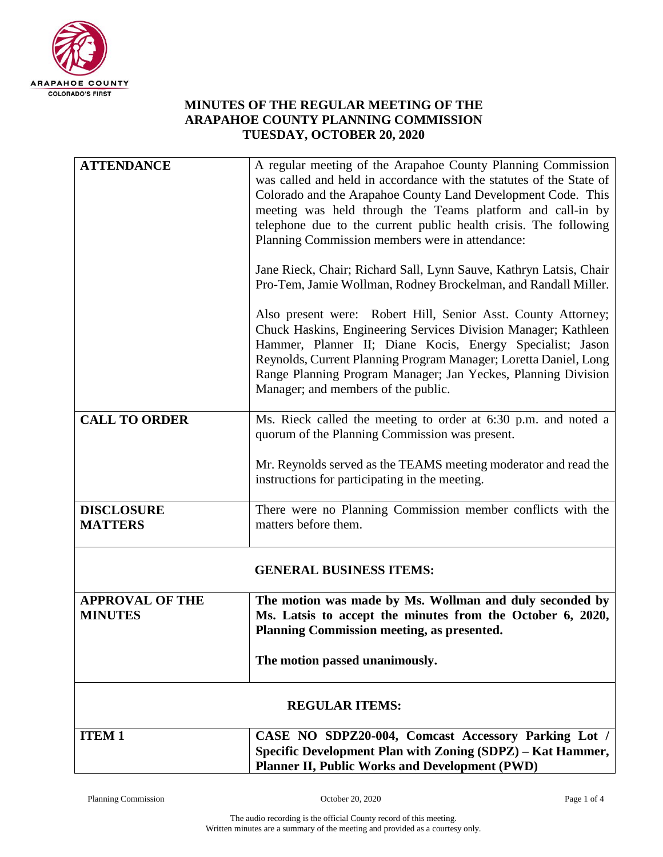

## **MINUTES OF THE REGULAR MEETING OF THE ARAPAHOE COUNTY PLANNING COMMISSION TUESDAY, OCTOBER 20, 2020**

| <b>ATTENDANCE</b>                        | A regular meeting of the Arapahoe County Planning Commission<br>was called and held in accordance with the statutes of the State of<br>Colorado and the Arapahoe County Land Development Code. This<br>meeting was held through the Teams platform and call-in by<br>telephone due to the current public health crisis. The following<br>Planning Commission members were in attendance:<br>Jane Rieck, Chair; Richard Sall, Lynn Sauve, Kathryn Latsis, Chair<br>Pro-Tem, Jamie Wollman, Rodney Brockelman, and Randall Miller.<br>Also present were: Robert Hill, Senior Asst. County Attorney;<br>Chuck Haskins, Engineering Services Division Manager; Kathleen |  |
|------------------------------------------|---------------------------------------------------------------------------------------------------------------------------------------------------------------------------------------------------------------------------------------------------------------------------------------------------------------------------------------------------------------------------------------------------------------------------------------------------------------------------------------------------------------------------------------------------------------------------------------------------------------------------------------------------------------------|--|
|                                          | Hammer, Planner II; Diane Kocis, Energy Specialist; Jason<br>Reynolds, Current Planning Program Manager; Loretta Daniel, Long<br>Range Planning Program Manager; Jan Yeckes, Planning Division<br>Manager; and members of the public.                                                                                                                                                                                                                                                                                                                                                                                                                               |  |
| <b>CALL TO ORDER</b>                     | Ms. Rieck called the meeting to order at 6:30 p.m. and noted a<br>quorum of the Planning Commission was present.                                                                                                                                                                                                                                                                                                                                                                                                                                                                                                                                                    |  |
|                                          | Mr. Reynolds served as the TEAMS meeting moderator and read the<br>instructions for participating in the meeting.                                                                                                                                                                                                                                                                                                                                                                                                                                                                                                                                                   |  |
| <b>DISCLOSURE</b><br><b>MATTERS</b>      | There were no Planning Commission member conflicts with the<br>matters before them.                                                                                                                                                                                                                                                                                                                                                                                                                                                                                                                                                                                 |  |
| <b>GENERAL BUSINESS ITEMS:</b>           |                                                                                                                                                                                                                                                                                                                                                                                                                                                                                                                                                                                                                                                                     |  |
| <b>APPROVAL OF THE</b><br><b>MINUTES</b> | The motion was made by Ms. Wollman and duly seconded by<br>Ms. Latsis to accept the minutes from the October 6, 2020,<br>Planning Commission meeting, as presented.                                                                                                                                                                                                                                                                                                                                                                                                                                                                                                 |  |
|                                          | The motion passed unanimously.                                                                                                                                                                                                                                                                                                                                                                                                                                                                                                                                                                                                                                      |  |
| <b>REGULAR ITEMS:</b>                    |                                                                                                                                                                                                                                                                                                                                                                                                                                                                                                                                                                                                                                                                     |  |
| <b>ITEM1</b>                             | CASE NO SDPZ20-004, Comcast Accessory Parking Lot /<br>Specific Development Plan with Zoning (SDPZ) - Kat Hammer,<br><b>Planner II, Public Works and Development (PWD)</b>                                                                                                                                                                                                                                                                                                                                                                                                                                                                                          |  |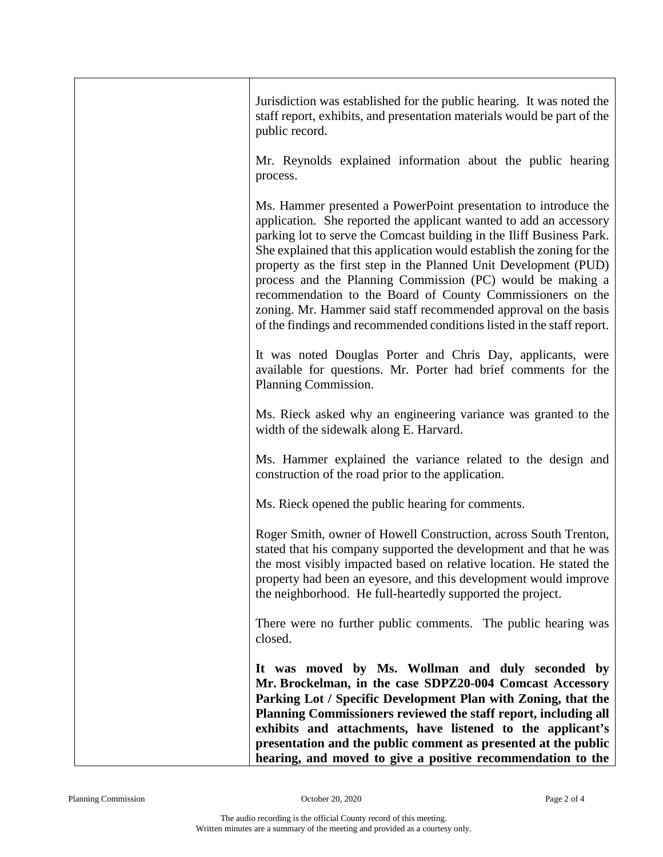| Jurisdiction was established for the public hearing. It was noted the<br>staff report, exhibits, and presentation materials would be part of the<br>public record.                                                                                                                                                                                                                                                                                                                                                                                                                                                                    |
|---------------------------------------------------------------------------------------------------------------------------------------------------------------------------------------------------------------------------------------------------------------------------------------------------------------------------------------------------------------------------------------------------------------------------------------------------------------------------------------------------------------------------------------------------------------------------------------------------------------------------------------|
| Mr. Reynolds explained information about the public hearing<br>process.                                                                                                                                                                                                                                                                                                                                                                                                                                                                                                                                                               |
| Ms. Hammer presented a PowerPoint presentation to introduce the<br>application. She reported the applicant wanted to add an accessory<br>parking lot to serve the Comcast building in the Iliff Business Park.<br>She explained that this application would establish the zoning for the<br>property as the first step in the Planned Unit Development (PUD)<br>process and the Planning Commission (PC) would be making a<br>recommendation to the Board of County Commissioners on the<br>zoning. Mr. Hammer said staff recommended approval on the basis<br>of the findings and recommended conditions listed in the staff report. |
| It was noted Douglas Porter and Chris Day, applicants, were<br>available for questions. Mr. Porter had brief comments for the<br>Planning Commission.                                                                                                                                                                                                                                                                                                                                                                                                                                                                                 |
| Ms. Rieck asked why an engineering variance was granted to the<br>width of the sidewalk along E. Harvard.                                                                                                                                                                                                                                                                                                                                                                                                                                                                                                                             |
| Ms. Hammer explained the variance related to the design and<br>construction of the road prior to the application.                                                                                                                                                                                                                                                                                                                                                                                                                                                                                                                     |
| Ms. Rieck opened the public hearing for comments.                                                                                                                                                                                                                                                                                                                                                                                                                                                                                                                                                                                     |
| Roger Smith, owner of Howell Construction, across South Trenton,<br>stated that his company supported the development and that he was<br>the most visibly impacted based on relative location. He stated the<br>property had been an eyesore, and this development would improve<br>the neighborhood. He full-heartedly supported the project.                                                                                                                                                                                                                                                                                        |
| There were no further public comments. The public hearing was<br>closed.                                                                                                                                                                                                                                                                                                                                                                                                                                                                                                                                                              |
| It was moved by Ms. Wollman and duly seconded by<br>Mr. Brockelman, in the case SDPZ20-004 Comcast Accessory<br>Parking Lot / Specific Development Plan with Zoning, that the<br>Planning Commissioners reviewed the staff report, including all<br>exhibits and attachments, have listened to the applicant's<br>presentation and the public comment as presented at the public<br>hearing, and moved to give a positive recommendation to the                                                                                                                                                                                       |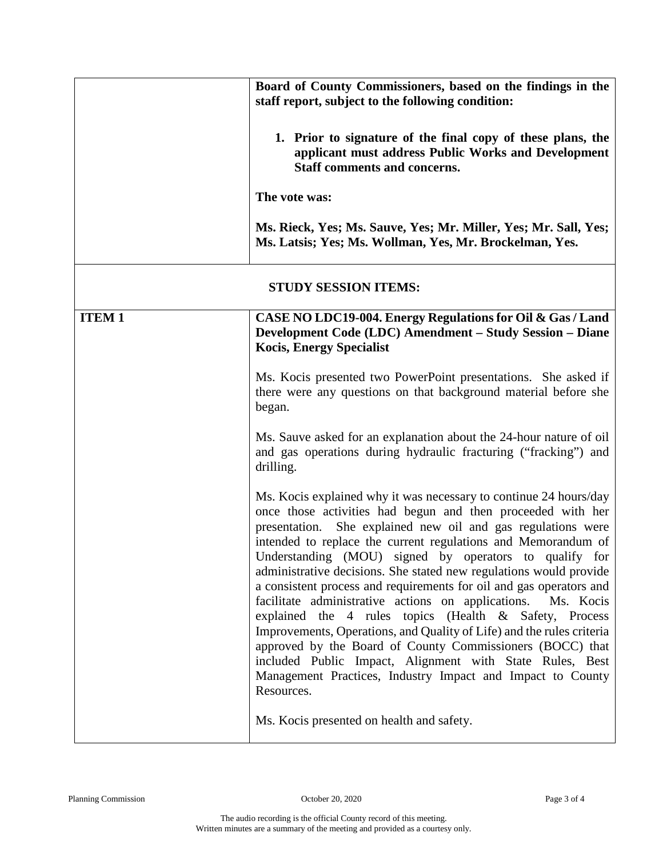|                             | Board of County Commissioners, based on the findings in the<br>staff report, subject to the following condition:                                                                                                                                                                                                                                                                                                                                                                                                                                                                                                                                                                                                                                                                                                                                                                    |  |
|-----------------------------|-------------------------------------------------------------------------------------------------------------------------------------------------------------------------------------------------------------------------------------------------------------------------------------------------------------------------------------------------------------------------------------------------------------------------------------------------------------------------------------------------------------------------------------------------------------------------------------------------------------------------------------------------------------------------------------------------------------------------------------------------------------------------------------------------------------------------------------------------------------------------------------|--|
|                             | 1. Prior to signature of the final copy of these plans, the<br>applicant must address Public Works and Development<br><b>Staff comments and concerns.</b>                                                                                                                                                                                                                                                                                                                                                                                                                                                                                                                                                                                                                                                                                                                           |  |
|                             | The vote was:                                                                                                                                                                                                                                                                                                                                                                                                                                                                                                                                                                                                                                                                                                                                                                                                                                                                       |  |
|                             | Ms. Rieck, Yes; Ms. Sauve, Yes; Mr. Miller, Yes; Mr. Sall, Yes;<br>Ms. Latsis; Yes; Ms. Wollman, Yes, Mr. Brockelman, Yes.                                                                                                                                                                                                                                                                                                                                                                                                                                                                                                                                                                                                                                                                                                                                                          |  |
| <b>STUDY SESSION ITEMS:</b> |                                                                                                                                                                                                                                                                                                                                                                                                                                                                                                                                                                                                                                                                                                                                                                                                                                                                                     |  |
| <b>ITEM1</b>                | CASE NO LDC19-004. Energy Regulations for Oil & Gas / Land<br>Development Code (LDC) Amendment - Study Session - Diane<br><b>Kocis, Energy Specialist</b>                                                                                                                                                                                                                                                                                                                                                                                                                                                                                                                                                                                                                                                                                                                           |  |
|                             | Ms. Kocis presented two PowerPoint presentations. She asked if<br>there were any questions on that background material before she<br>began.                                                                                                                                                                                                                                                                                                                                                                                                                                                                                                                                                                                                                                                                                                                                         |  |
|                             | Ms. Sauve asked for an explanation about the 24-hour nature of oil<br>and gas operations during hydraulic fracturing ("fracking") and<br>drilling.                                                                                                                                                                                                                                                                                                                                                                                                                                                                                                                                                                                                                                                                                                                                  |  |
|                             | Ms. Kocis explained why it was necessary to continue 24 hours/day<br>once those activities had begun and then proceeded with her<br>presentation. She explained new oil and gas regulations were<br>intended to replace the current regulations and Memorandum of<br>Understanding (MOU) signed by operators to qualify for<br>administrative decisions. She stated new regulations would provide<br>a consistent process and requirements for oil and gas operators and<br>facilitate administrative actions on applications.<br>Ms. Kocis<br>explained the 4 rules topics (Health & Safety, Process<br>Improvements, Operations, and Quality of Life) and the rules criteria<br>approved by the Board of County Commissioners (BOCC) that<br>included Public Impact, Alignment with State Rules, Best<br>Management Practices, Industry Impact and Impact to County<br>Resources. |  |
|                             | Ms. Kocis presented on health and safety.                                                                                                                                                                                                                                                                                                                                                                                                                                                                                                                                                                                                                                                                                                                                                                                                                                           |  |